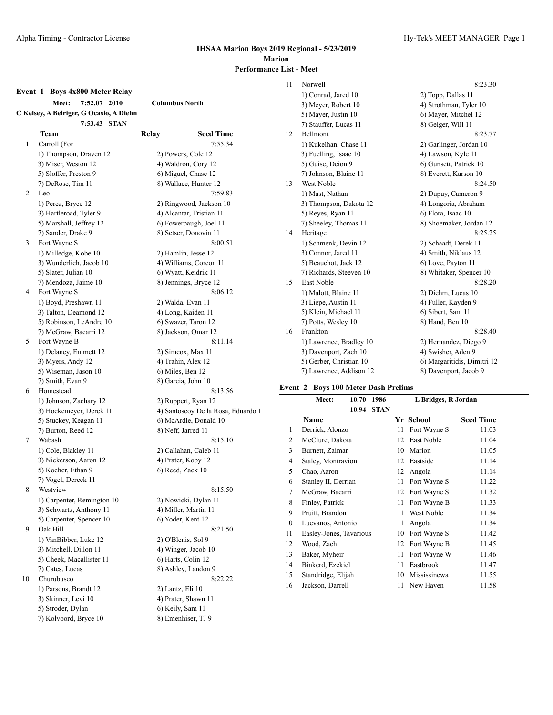#### **Event 1 Boys 4x800 Meter Relay**

|    | 7:52.07<br>2010<br>Meet:                      | <b>Columbus North</b>                     |  |  |  |
|----|-----------------------------------------------|-------------------------------------------|--|--|--|
|    | C Kelsey, A Beiriger, G Ocasio, A Diehn       |                                           |  |  |  |
|    | 7:53.43 STAN                                  |                                           |  |  |  |
|    | Team                                          | Relay<br><b>Seed Time</b>                 |  |  |  |
| 1  | Carroll (For                                  | 7:55.34                                   |  |  |  |
|    | 1) Thompson, Draven 12                        | 2) Powers, Cole 12                        |  |  |  |
|    | 3) Miser, Weston 12                           | 4) Waldron, Cory 12                       |  |  |  |
|    | 5) Sloffer, Preston 9                         | 6) Miguel, Chase 12                       |  |  |  |
|    | 7) DeRose, Tim 11                             | 8) Wallace, Hunter 12                     |  |  |  |
| 2  | Leo                                           | 7:59.83                                   |  |  |  |
|    | 1) Perez, Bryce 12                            | 2) Ringwood, Jackson 10                   |  |  |  |
|    | 3) Hartleroad, Tyler 9                        | 4) Alcantar, Tristian 11                  |  |  |  |
|    | 5) Marshall, Jeffrey 12                       | 6) Fowerbaugh, Joel 11                    |  |  |  |
|    | 7) Sander, Drake 9                            | 8) Setser, Donovin 11                     |  |  |  |
| 3  | Fort Wayne S                                  | 8:00.51                                   |  |  |  |
|    | 1) Milledge, Kobe 10                          | 2) Hamlin, Jesse 12                       |  |  |  |
|    | 3) Wunderlich, Jacob 10                       | 4) Williams, Coreon 11                    |  |  |  |
|    | 5) Slater, Julian 10                          | 6) Wyatt, Keidrik 11                      |  |  |  |
|    | 7) Mendoza, Jaime 10                          | 8) Jennings, Bryce 12                     |  |  |  |
| 4  | Fort Wayne S                                  | 8:06.12                                   |  |  |  |
|    |                                               |                                           |  |  |  |
|    | 1) Boyd, Preshawn 11<br>3) Talton, Deamond 12 | 2) Walda, Evan 11                         |  |  |  |
|    |                                               | 4) Long, Kaiden 11<br>6) Swazer, Taron 12 |  |  |  |
|    | 5) Robinson, LeAndre 10                       | 8) Jackson, Omar 12                       |  |  |  |
|    | 7) McGraw, Bacarri 12                         |                                           |  |  |  |
| 5  | Fort Wayne B                                  | 8:11.14                                   |  |  |  |
|    | 1) Delaney, Emmett 12                         | 2) Simcox, Max 11                         |  |  |  |
|    | 3) Myers, Andy 12                             | 4) Trahin, Alex 12                        |  |  |  |
|    | 5) Wiseman, Jason 10                          | 6) Miles, Ben 12                          |  |  |  |
|    | 7) Smith, Evan 9                              | 8) Garcia, John 10                        |  |  |  |
| 6  | Homestead                                     | 8:13.56                                   |  |  |  |
|    | 1) Johnson, Zachary 12                        | 2) Ruppert, Ryan 12                       |  |  |  |
|    | 3) Hockemeyer, Derek 11                       | 4) Santoscoy De la Rosa, Eduardo 1        |  |  |  |
|    | 5) Stuckey, Keagan 11                         | 6) McArdle, Donald 10                     |  |  |  |
|    | 7) Burton, Reed 12                            | 8) Neff, Jarred 11                        |  |  |  |
| 7  | Wabash                                        | 8:15.10                                   |  |  |  |
|    | 1) Cole, Blakley 11                           | 2) Callahan, Caleb 11                     |  |  |  |
|    | 3) Nickerson, Aaron 12                        | 4) Prater, Koby 12                        |  |  |  |
|    | 5) Kocher, Ethan 9                            | 6) Reed, Zack 10                          |  |  |  |
|    | 7) Vogel, Dereck 11                           |                                           |  |  |  |
| 8  | Westview                                      | 8:15.50                                   |  |  |  |
|    | 1) Carpenter, Remington 10                    | 2) Nowicki, Dylan 11                      |  |  |  |
|    | 3) Schwartz, Anthony 11                       | 4) Miller, Martin 11                      |  |  |  |
|    | 5) Carpenter, Spencer 10                      | 6) Yoder, Kent 12                         |  |  |  |
| 9  | Oak Hill                                      | 8:21.50                                   |  |  |  |
|    | 1) VanBibber, Luke 12                         | 2) O'Blenis, Sol 9                        |  |  |  |
|    | 3) Mitchell, Dillon 11                        | 4) Winger, Jacob 10                       |  |  |  |
|    | 5) Cheek, Macallister 11                      | 6) Harts, Colin 12                        |  |  |  |
|    | 7) Cates, Lucas                               | 8) Ashley, Landon 9                       |  |  |  |
| 10 | Churubusco                                    | 8:22.22                                   |  |  |  |
|    | 1) Parsons, Brandt 12                         | 2) Lantz, Eli 10                          |  |  |  |
|    | 3) Skinner, Levi 10                           | 4) Prater, Shawn 11                       |  |  |  |
|    | 5) Stroder, Dylan                             | 6) Keily, Sam 11                          |  |  |  |
|    | 7) Kolvoord, Bryce 10                         | 8) Emenhiser, TJ 9                        |  |  |  |
|    |                                               |                                           |  |  |  |

## 11 Norwell 8:23.30 1) Conrad, Jared 10 2) Topp, Dallas 11 3) Meyer, Robert 10 4) Strothman, Tyler 10 5) Mayer, Justin 10 6) Mayer, Mitchel 12 7) Stauffer, Lucas 11 8) Geiger, Will 11 12 Bellmont 8:23.77 1) Kukelhan, Chase 11 2) Garlinger, Jordan 10 3) Fuelling, Isaac 10 4) Lawson, Kyle 11 5) Guise, Deion 9 6) Gunsett, Patrick 10 7) Johnson, Blaine 11 8) Everett, Karson 10 13 West Noble 8:24.50 1) Mast, Nathan 2) Dupuy, Cameron 9<br>3) Thompson, Dakota 12<br>4) Longoria, Abraham 3) Thompson, Dakota 12 5) Reyes, Ryan 11 6) Flora, Isaac 10 7) Sheeley, Thomas 11 8) Shoemaker, Jordan 12 14 Heritage 8:25.25 1) Schmenk, Devin 12 2) Schaadt, Derek 11 3) Connor, Jared 11 4) Smith, Niklaus 12 5) Beauchot, Jack 12 6) Love, Payton 11 7) Richards, Steeven 10 8) Whitaker, Spencer 10 15 East Noble 8:28.20 1) Malott, Blaine 11 2) Diehm, Lucas 10 3) Liepe, Austin 11 4) Fuller, Kayden 9 5) Klein, Michael 11 6) Sibert, Sam 11 7) Potts, Wesley 10 8) Hand, Ben 10

16 Frankton 8:28.40 1) Lawrence, Bradley 10 2) Hernandez, Diego 9 3) Davenport, Zach 10 4) Swisher, Aden 9 5) Gerber, Christian 10 6) Margaritidis, Dimitri 12 7) Lawrence, Addison 12 8) Davenport, Jacob 9

**Event 2 Boys 100 Meter Dash Prelims Meet: 10.70 1986 L Bridges, R Jordan 10.94 STAN**

 $\overline{a}$ 

|                | Name                    |    | Yr School       | <b>Seed Time</b> |
|----------------|-------------------------|----|-----------------|------------------|
| 1              | Derrick, Alonzo         | 11 | Fort Wayne S    | 11.03            |
| 2              | McClure, Dakota         | 12 | East Noble      | 11.04            |
| 3              | Burnett, Zaimar         | 10 | Marion          | 11.05            |
| $\overline{4}$ | Staley, Montravion      | 12 | Eastside        | 11.14            |
| 5              | Chao, Aaron             | 12 | Angola          | 11.14            |
| 6              | Stanley II, Derrian     | 11 | Fort Wayne S    | 11.22            |
| 7              | McGraw, Bacarri         |    | 12 Fort Wayne S | 11.32            |
| 8              | Finley, Patrick         | 11 | Fort Wayne B    | 11.33            |
| 9              | Pruitt, Brandon         | 11 | West Noble      | 11.34            |
| 10             | Luevanos, Antonio       | 11 | Angola          | 11.34            |
| 11             | Easley-Jones, Tavarious | 10 | Fort Wayne S    | 11.42            |
| 12             | Wood, Zach              |    | 12 Fort Wayne B | 11.45            |
| 13             | Baker, Myheir           | 11 | Fort Wayne W    | 11.46            |
| 14             | Binkerd, Ezekiel        | 11 | Eastbrook       | 11.47            |
| 15             | Standridge, Elijah      | 10 | Mississinewa    | 11.55            |
| 16             | Jackson, Darrell        | 11 | New Haven       | 11.58            |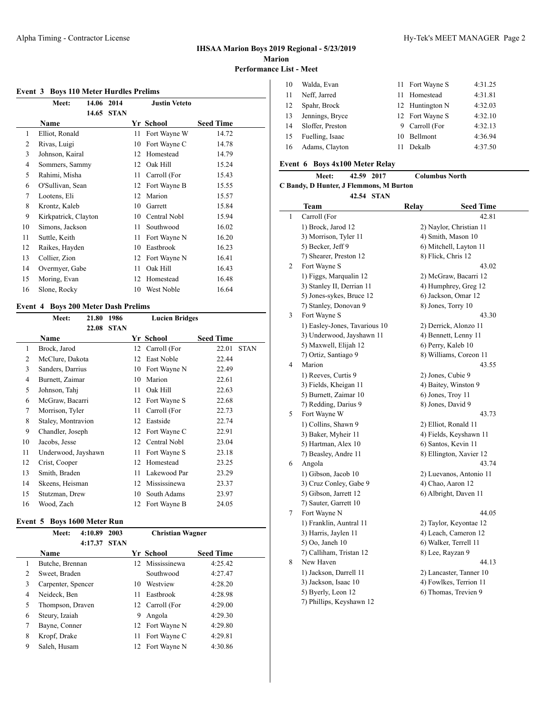#### **Event 3 Boys 110 Meter Hurdles Prelims**

|    | Meet:                | 14.06 | 2014        |    | <b>Justin Veteto</b> |                  |
|----|----------------------|-------|-------------|----|----------------------|------------------|
|    |                      | 14.65 | <b>STAN</b> |    |                      |                  |
|    | <b>Name</b>          |       |             | Yr | School               | <b>Seed Time</b> |
| 1  | Elliot, Ronald       |       |             | 11 | Fort Wayne W         | 14.72            |
| 2  | Rivas, Luigi         |       |             | 10 | Fort Wayne C         | 14.78            |
| 3  | Johnson, Kairal      |       |             | 12 | Homestead            | 14.79            |
| 4  | Sommers, Sammy       |       |             | 12 | Oak Hill             | 15.24            |
| 5  | Rahimi, Misha        |       |             | 11 | Carroll (For         | 15.43            |
| 6  | O'Sullivan, Sean     |       |             | 12 | Fort Wayne B         | 15.55            |
| 7  | Lootens, Eli         |       |             | 12 | Marion               | 15.57            |
| 8  | Krontz, Kaleb        |       |             | 10 | Garrett              | 15.84            |
| 9  | Kirkpatrick, Clayton |       |             | 10 | Central Nobl         | 15.94            |
| 10 | Simons, Jackson      |       |             | 11 | Southwood            | 16.02            |
| 11 | Suttle, Keith        |       |             | 11 | Fort Wayne N         | 16.20            |
| 12 | Raikes, Hayden       |       |             | 10 | Eastbrook            | 16.23            |
| 13 | Collier, Zion        |       |             | 12 | Fort Wayne N         | 16.41            |
| 14 | Overmyer, Gabe       |       |             | 11 | Oak Hill             | 16.43            |
| 15 | Moring, Evan         |       |             | 12 | Homestead            | 16.48            |
| 16 | Slone, Rocky         |       |             | 10 | West Noble           | 16.64            |
|    |                      |       |             |    |                      |                  |

### **Event 4 Boys 200 Meter Dash Prelims**

|    | Meet:               | 21.80 | 1986        |    | <b>Lucien Bridges</b> |                  |             |
|----|---------------------|-------|-------------|----|-----------------------|------------------|-------------|
|    |                     | 22.08 | <b>STAN</b> |    |                       |                  |             |
|    | Name                |       |             |    | Yr School             | <b>Seed Time</b> |             |
| 1  | Brock, Jarod        |       |             | 12 | Carroll (For          | 22.01            | <b>STAN</b> |
| 2  | McClure, Dakota     |       |             | 12 | East Noble            | 22.44            |             |
| 3  | Sanders, Darrius    |       |             | 10 | Fort Wayne N          | 22.49            |             |
| 4  | Burnett, Zaimar     |       |             | 10 | Marion                | 22.61            |             |
| 5  | Johnson, Tahj       |       |             | 11 | Oak Hill              | 22.63            |             |
| 6  | McGraw, Bacarri     |       |             | 12 | Fort Wayne S          | 22.68            |             |
| 7  | Morrison, Tyler     |       |             | 11 | Carroll (For          | 22.73            |             |
| 8  | Staley, Montravion  |       |             | 12 | Eastside              | 22.74            |             |
| 9  | Chandler, Joseph    |       |             | 12 | Fort Wayne C          | 22.91            |             |
| 10 | Jacobs, Jesse       |       |             | 12 | Central Nobl          | 23.04            |             |
| 11 | Underwood, Jayshawn |       |             | 11 | Fort Wayne S          | 23.18            |             |
| 12 | Crist, Cooper       |       |             | 12 | Homestead             | 23.25            |             |
| 13 | Smith, Braden       |       |             | 11 | Lakewood Par          | 23.29            |             |
| 14 | Skeens, Heisman     |       |             | 12 | Mississinewa          | 23.37            |             |
| 15 | Stutzman, Drew      |       |             | 10 | South Adams           | 23.97            |             |
| 16 | Wood, Zach          |       |             | 12 | Fort Wayne B          | 24.05            |             |

#### **Event 5 Boys 1600 Meter Run**

|   | Meet:              | 4:10.89<br>4:17.37 | 2003<br><b>STAN</b> |    | <b>Christian Wagner</b> |                  |
|---|--------------------|--------------------|---------------------|----|-------------------------|------------------|
|   | <b>Name</b>        |                    |                     |    | Yr School               | <b>Seed Time</b> |
| 1 | Butche, Brennan    |                    |                     |    | 12 Mississinewa         | 4:25.42          |
| 2 | Sweet, Braden      |                    |                     |    | Southwood               | 4:27.47          |
| 3 | Carpenter, Spencer |                    |                     | 10 | Westview                | 4:28.20          |
| 4 | Neideck. Ben       |                    |                     | 11 | Eastbrook               | 4:28.98          |
| 5 | Thompson, Draven   |                    |                     |    | 12 Carroll (For         | 4:29.00          |
| 6 | Steury, Izaiah     |                    |                     | 9  | Angola                  | 4:29.30          |
| 7 | Bayne, Conner      |                    |                     |    | 12 Fort Wayne N         | 4:29.80          |
| 8 | Kropf, Drake       |                    |                     | 11 | Fort Wayne C            | 4:29.81          |
| 9 | Saleh. Husam       |                    |                     |    | 12 Fort Wayne N         | 4:30.86          |

| Walda, Evan      |    |        | 4:31.25                                                                                             |
|------------------|----|--------|-----------------------------------------------------------------------------------------------------|
| Neff, Jarred     | 11 |        | 4:31.81                                                                                             |
| Spahr, Brock     |    |        | 4:32.03                                                                                             |
| Jennings, Bryce  |    |        | 4:32.10                                                                                             |
| Sloffer, Preston |    |        | 4:32.13                                                                                             |
| Fuelling, Isaac  |    |        | 4:36.94                                                                                             |
| Adams, Clayton   |    | Dekalb | 4:37.50                                                                                             |
|                  |    |        | 11 Fort Wayne S<br>Homestead<br>12 Huntington N<br>12 Fort Wayne S<br>9 Carroll (For<br>10 Bellmont |

#### **Event 6 Boys 4x100 Meter Relay**

#### **Meet: 42.59 2017 Columbus North**

**C Bandy, D Hunter, J Flemmons, M Burton**

|   | <b>Team</b>                   | Relay | <b>Seed Time</b>        |
|---|-------------------------------|-------|-------------------------|
| 1 | Carroll (For                  |       | 42.81                   |
|   | 1) Brock, Jarod 12            |       | 2) Naylor, Christian 11 |
|   | 3) Morrison, Tyler 11         |       | 4) Smith, Mason 10      |
|   | 5) Becker, Jeff 9             |       | 6) Mitchell, Layton 11  |
|   | 7) Shearer, Preston 12        |       | 8) Flick, Chris 12      |
| 2 | Fort Wayne S                  |       | 43.02                   |
|   | 1) Figgs, Marqualin 12        |       | 2) McGraw, Bacarri 12   |
|   | 3) Stanley II, Derrian 11     |       | 4) Humphrey, Greg 12    |
|   | 5) Jones-sykes, Bruce 12      |       | 6) Jackson, Omar 12     |
|   | 7) Stanley, Donovan 9         |       | 8) Jones, Torry 10      |
| 3 | Fort Wayne S                  |       | 43.30                   |
|   | 1) Easley-Jones, Tavarious 10 |       | 2) Derrick, Alonzo 11   |
|   | 3) Underwood, Jayshawn 11     |       | 4) Bennett, Lenny 11    |
|   | 5) Maxwell, Elijah 12         |       | 6) Perry, Kaleb 10      |
|   | 7) Ortiz, Santiago 9          |       | 8) Williams, Coreon 11  |
| 4 | Marion                        |       | 43.55                   |
|   | 1) Reeves, Curtis 9           |       | 2) Jones, Cubie 9       |
|   | 3) Fields, Kheigan 11         |       | 4) Baitey, Winston 9    |
|   | 5) Burnett, Zaimar 10         |       | 6) Jones, Troy 11       |
|   | 7) Redding, Darius 9          |       | 8) Jones, David 9       |
| 5 | Fort Wayne W                  |       | 43.73                   |
|   | 1) Collins, Shawn 9           |       | 2) Elliot, Ronald 11    |
|   | 3) Baker, Myheir 11           |       | 4) Fields, Keyshawn 11  |
|   | 5) Hartman, Alex 10           |       | 6) Santos, Kevin 11     |
|   | 7) Beasley, Andre 11          |       | 8) Ellington, Xavier 12 |
| 6 | Angola                        |       | 43.74                   |
|   | 1) Gibson, Jacob 10           |       | 2) Luevanos, Antonio 11 |
|   | 3) Cruz Conley, Gabe 9        |       | 4) Chao, Aaron 12       |
|   | 5) Gibson, Jarrett 12         |       | 6) Albright, Daven 11   |
|   | 7) Sauter, Garrett 10         |       |                         |
| 7 | Fort Wayne N                  |       | 44.05                   |
|   | 1) Franklin, Auntral 11       |       | 2) Taylor, Keyontae 12  |
|   | 3) Harris, Jaylen 11          |       | 4) Leach, Cameron 12    |
|   | 5) Oo, Janeh 10               |       | 6) Walker, Terrell 11   |
|   | 7) Calliham, Tristan 12       |       | 8) Lee, Rayzan 9        |
| 8 | New Haven                     |       | 44.13                   |
|   | 1) Jackson, Darrell 11        |       | 2) Lancaster, Tanner 10 |
|   | 3) Jackson, Isaac 10          |       | 4) Fowlkes, Terrion 11  |
|   | 5) Byerly, Leon 12            |       | 6) Thomas, Trevien 9    |
|   | 7) Phillips, Keyshawn 12      |       |                         |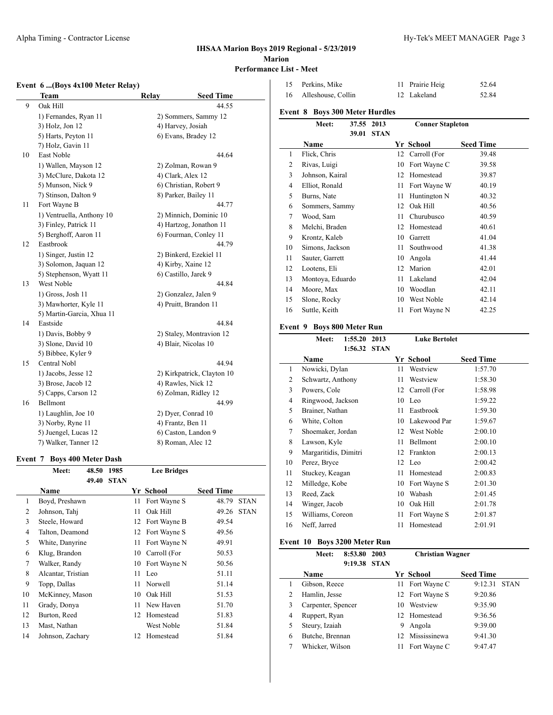# **IHSAA Marion Boys 2019 Regional - 5/23/2019 Marion**

# **Performance List - Meet**

# **Event 6 ...(Boys 4x100 Meter Relay)**

|    | <b>Team</b>               | Relay | <b>Seed Time</b>           |
|----|---------------------------|-------|----------------------------|
| 9  | Oak Hill                  |       | 44.55                      |
|    | 1) Fernandes, Ryan 11     |       | 2) Sommers, Sammy 12       |
|    | 3) Holz, Jon 12           |       | 4) Harvey, Josiah          |
|    | 5) Harts, Peyton 11       |       | 6) Evans, Bradey 12        |
|    | 7) Holz, Gavin 11         |       |                            |
| 10 | East Noble                |       | 44.64                      |
|    | 1) Wallen, Mayson 12      |       | 2) Zolman, Rowan 9         |
|    | 3) McClure, Dakota 12     |       | 4) Clark, Alex 12          |
|    | 5) Munson, Nick 9         |       | 6) Christian, Robert 9     |
|    | 7) Stinson, Dalton 9      |       | 8) Parker, Bailey 11       |
| 11 | Fort Wayne B              |       | 44.77                      |
|    | 1) Ventruella, Anthony 10 |       | 2) Minnich, Dominic 10     |
|    | 3) Finley, Patrick 11     |       | 4) Hartzog, Jonathon 11    |
|    | 5) Berghoff, Aaron 11     |       | 6) Fourman, Conley 11      |
| 12 | Eastbrook                 |       | 44.79                      |
|    | 1) Singer, Justin 12      |       | 2) Binkerd, Ezekiel 11     |
|    | 3) Solomon, Jaquan 12     |       | 4) Kirby, Xaine 12         |
|    | 5) Stephenson, Wyatt 11   |       | 6) Castillo, Jarek 9       |
| 13 | West Noble                |       | 44.84                      |
|    | 1) Gross, Josh 11         |       | 2) Gonzalez, Jalen 9       |
|    | 3) Mawhorter, Kyle 11     |       | 4) Pruitt, Brandon 11      |
|    | 5) Martin-Garcia, Xhua 11 |       |                            |
| 14 | Eastside                  |       | 44.84                      |
|    | 1) Davis, Bobby 9         |       | 2) Staley, Montravion 12   |
|    | 3) Slone, David 10        |       | 4) Blair, Nicolas 10       |
|    | 5) Bibbee, Kyler 9        |       |                            |
| 15 | Central Nobl              |       | 44.94                      |
|    | 1) Jacobs, Jesse 12       |       | 2) Kirkpatrick, Clayton 10 |
|    | 3) Brose, Jacob 12        |       | 4) Rawles, Nick 12         |
|    | 5) Capps, Carson 12       |       | 6) Zolman, Ridley 12       |
| 16 | Bellmont                  |       | 44.99                      |
|    | 1) Laughlin, Joe 10       |       | 2) Dyer, Conrad 10         |
|    | 3) Norby, Ryne 11         |       | 4) Frantz, Ben 11          |
|    | 5) Juengel, Lucas 12      |       | 6) Caston, Landon 9        |
|    | 7) Walker, Tanner 12      |       | 8) Roman, Alec 12          |

#### **Event 7 Boys 400 Meter Dash**

|    | Meet:              | 48.50 | 1985        |    | <b>Lee Bridges</b> |                  |             |
|----|--------------------|-------|-------------|----|--------------------|------------------|-------------|
|    |                    | 49.40 | <b>STAN</b> |    |                    |                  |             |
|    | Name               |       |             |    | Yr School          | <b>Seed Time</b> |             |
| 1  | Boyd, Preshawn     |       |             | 11 | Fort Wayne S       | 48.79            | <b>STAN</b> |
| 2  | Johnson, Tahj      |       |             | 11 | Oak Hill           | 49.26            | <b>STAN</b> |
| 3  | Steele, Howard     |       |             | 12 | Fort Wavne B       | 49.54            |             |
| 4  | Talton, Deamond    |       |             | 12 | Fort Wayne S       | 49.56            |             |
| 5  | White, Danyrine    |       |             | 11 | Fort Wayne N       | 49.91            |             |
| 6  | Klug, Brandon      |       |             | 10 | Carroll (For       | 50.53            |             |
| 7  | Walker, Randy      |       |             | 10 | Fort Wayne N       | 50.56            |             |
| 8  | Alcantar, Tristian |       |             | 11 | Leo                | 51.11            |             |
| 9  | Topp, Dallas       |       |             | 11 | Norwell            | 51.14            |             |
| 10 | McKinney, Mason    |       |             | 10 | Oak Hill           | 51.53            |             |
| 11 | Grady, Donya       |       |             | 11 | New Haven          | 51.70            |             |
| 12 | Burton, Reed       |       |             | 12 | Homestead          | 51.83            |             |
| 13 | Mast, Nathan       |       |             |    | West Noble         | 51.84            |             |
| 14 | Johnson, Zachary   |       |             | 12 | Homestead          | 51.84            |             |

| 15      | Perkins, Mike                 |         |             | 11 | Prairie Heig            | 52.64            |
|---------|-------------------------------|---------|-------------|----|-------------------------|------------------|
| 16      | Alleshouse, Collin            |         |             | 12 | Lakeland                | 52.84            |
| Event 8 | <b>Boys 300 Meter Hurdles</b> |         |             |    |                         |                  |
|         | Meet:                         | 37.55   | 2013        |    | <b>Conner Stapleton</b> |                  |
|         |                               | 39.01   | <b>STAN</b> |    |                         |                  |
|         | <b>Name</b>                   |         |             |    | <b>Yr School</b>        | <b>Seed Time</b> |
| 1       | Flick, Chris                  |         |             | 12 | Carroll (For            | 39.48            |
| 2       | Rivas, Luigi                  |         |             | 10 | Fort Wayne C            | 39.58            |
| 3       | Johnson, Kairal               |         |             | 12 | Homestead               | 39.87            |
| 4       | Elliot, Ronald                |         |             | 11 | Fort Wayne W            | 40.19            |
| 5       | Burns, Nate                   |         |             | 11 | Huntington N            | 40.32            |
| 6       | Sommers, Sammy                |         |             | 12 | Oak Hill                | 40.56            |
| 7       | Wood, Sam                     |         |             | 11 | Churubusco              | 40.59            |
| 8       | Melchi, Braden                |         |             | 12 | Homestead               | 40.61            |
| 9       | Krontz, Kaleb                 |         |             | 10 | Garrett                 | 41.04            |
| 10      | Simons, Jackson               |         |             | 11 | Southwood               | 41.38            |
| 11      | Sauter, Garrett               |         |             | 10 | Angola                  | 41.44            |
| 12      | Lootens, Eli                  |         |             | 12 | Marion                  | 42.01            |
| 13      | Montoya, Eduardo              |         |             | 11 | Lakeland                | 42.04            |
| 14      | Moore, Max                    |         |             | 10 | Woodlan                 | 42.11            |
| 15      | Slone, Rocky                  |         |             | 10 | West Noble              | 42.14            |
| 16      | Suttle, Keith                 |         |             | 11 | Fort Wayne N            | 42.25            |
| Event 9 | <b>Boys 800 Meter Run</b>     |         |             |    |                         |                  |
|         | Meet:                         | 1:55.20 | 2013        |    | <b>Luke Bertolet</b>    |                  |
|         |                               | 1:56.32 | <b>STAN</b> |    |                         |                  |
|         | Name                          |         |             |    | Yr School               | <b>Seed Time</b> |

|                | 1.50.32 STAN          |    |                 |                  |
|----------------|-----------------------|----|-----------------|------------------|
|                | <b>Name</b>           |    | Yr School       | <b>Seed Time</b> |
| 1              | Nowicki, Dylan        | 11 | Westview        | 1:57.70          |
| 2              | Schwartz, Anthony     | 11 | Westview        | 1:58.30          |
| 3              | Powers, Cole          |    | 12 Carroll (For | 1:58.98          |
| $\overline{4}$ | Ringwood, Jackson     |    | 10 Leo          | 1:59.22          |
| 5              | Brainer, Nathan       | 11 | Eastbrook       | 1:59.30          |
| 6              | White, Colton         | 10 | Lakewood Par    | 1:59.67          |
| 7              | Shoemaker, Jordan     |    | 12 West Noble   | 2:00.10          |
| 8              | Lawson, Kyle          | 11 | Bellmont        | 2:00.10          |
| 9              | Margaritidis, Dimitri | 12 | Frankton        | 2:00.13          |
| 10             | Perez, Bryce          |    | 12 Leo          | 2:00.42          |
| 11             | Stuckey, Keagan       | 11 | Homestead       | 2:00.83          |
| 12             | Milledge, Kobe        | 10 | Fort Wayne S    | 2:01.30          |
| 13             | Reed, Zack            | 10 | Wabash          | 2:01.45          |
| 14             | Winger, Jacob         | 10 | Oak Hill        | 2:01.78          |
| 15             | Williams, Coreon      | 11 | Fort Wayne S    | 2:01.87          |
| 16             | Neff, Jarred          | 11 | Homestead       | 2:01.91          |
|                |                       |    |                 |                  |

## **Event 10 Boys 3200 Meter Run**

|   | Meet:              | 8:53.80 | 2003        |    | <b>Christian Wagner</b> |                  |             |
|---|--------------------|---------|-------------|----|-------------------------|------------------|-------------|
|   |                    | 9:19.38 | <b>STAN</b> |    |                         |                  |             |
|   | Name               |         |             |    | Yr School               | <b>Seed Time</b> |             |
|   | Gibson, Reece      |         |             | 11 | Fort Wayne C            | 9:12.31          | <b>STAN</b> |
| 2 | Hamlin, Jesse      |         |             |    | 12 Fort Wayne S         | 9:20.86          |             |
| 3 | Carpenter, Spencer |         |             | 10 | Westview                | 9:35.90          |             |
| 4 | Ruppert, Ryan      |         |             |    | 12 Homestead            | 9:36.56          |             |
| 5 | Steury, Izaiah     |         |             | 9  | Angola                  | 9:39.00          |             |
| 6 | Butche, Brennan    |         |             | 12 | Mississinewa            | 9:41.30          |             |
|   | Whicker, Wilson    |         |             |    | Fort Wayne C            | 9:47.47          |             |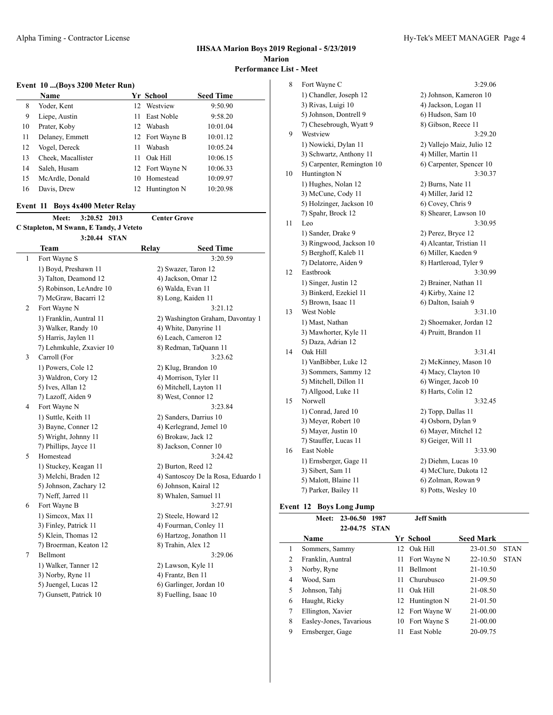# **Event 10 ...(Boys 3200 Meter Run)**

|    | <b>Name</b>        |     | Yr School       | <b>Seed Time</b> |
|----|--------------------|-----|-----------------|------------------|
| 8  | Yoder, Kent        | 12  | Westview        | 9:50.90          |
| 9  | Liepe, Austin      | 11. | East Noble      | 9:58.20          |
| 10 | Prater, Koby       |     | 12 Wabash       | 10:01.04         |
| 11 | Delaney, Emmett    |     | 12 Fort Wayne B | 10:01.12         |
| 12 | Vogel, Dereck      | 11  | Wabash          | 10:05.24         |
| 13 | Cheek, Macallister | 11  | Oak Hill        | 10:06.15         |
| 14 | Saleh, Husam       |     | 12 Fort Wayne N | 10:06.33         |
| 15 | McArdle, Donald    | 10  | Homestead       | 10:09.97         |
| 16 | Davis, Drew        |     | 12 Huntington N | 10:20.98         |
|    |                    |     |                 |                  |

#### **Event 11 Boys 4x400 Meter Relay**

|                                         | Meet: 3:20.52 2013 |  | <b>Center Grove</b> |                  |  |
|-----------------------------------------|--------------------|--|---------------------|------------------|--|
| C Stapleton, M Swann, E Tandy, J Veteto |                    |  |                     |                  |  |
|                                         | 3:20.44 STAN       |  |                     |                  |  |
| Team                                    |                    |  | Relay               | <b>Seed Time</b> |  |
|                                         |                    |  |                     |                  |  |

|   | leam                     | Relay<br>Seed 1 ime                |
|---|--------------------------|------------------------------------|
| 1 | Fort Wayne S             | 3:20.59                            |
|   | 1) Boyd, Preshawn 11     | 2) Swazer, Taron 12                |
|   | 3) Talton, Deamond 12    | 4) Jackson, Omar 12                |
|   | 5) Robinson, LeAndre 10  | 6) Walda, Evan 11                  |
|   | 7) McGraw, Bacarri 12    | 8) Long, Kaiden 11                 |
| 2 | Fort Wayne N             | 3:21.12                            |
|   | 1) Franklin, Auntral 11  | 2) Washington Graham, Davontay 1   |
|   | 3) Walker, Randy 10      | 4) White, Danyrine 11              |
|   | 5) Harris, Jaylen 11     | 6) Leach, Cameron 12               |
|   | 7) Lehmkuhle, Zxavier 10 | 8) Redman, TaQuann 11              |
| 3 | Carroll (For             | 3:23.62                            |
|   | 1) Powers, Cole 12       | 2) Klug, Brandon 10                |
|   | 3) Waldron, Cory 12      | 4) Morrison, Tyler 11              |
|   | 5) Ives, Allan 12        | 6) Mitchell, Layton 11             |
|   | 7) Lazoff, Aiden 9       | 8) West, Connor 12                 |
| 4 | Fort Wayne N             | 3:23.84                            |
|   | 1) Suttle, Keith 11      | 2) Sanders, Darrius 10             |
|   | 3) Bayne, Conner 12      | 4) Kerlegrand, Jemel 10            |
|   | 5) Wright, Johnny 11     | 6) Brokaw, Jack 12                 |
|   | 7) Phillips, Jayce 11    | 8) Jackson, Conner 10              |
| 5 | Homestead                | 3:24.42                            |
|   | 1) Stuckey, Keagan 11    | 2) Burton, Reed 12                 |
|   | 3) Melchi, Braden 12     | 4) Santoscoy De la Rosa, Eduardo 1 |
|   | 5) Johnson, Zachary 12   | 6) Johnson, Kairal 12              |
|   | 7) Neff, Jarred 11       | 8) Whalen, Samuel 11               |
| 6 | Fort Wayne B             | 3:27.91                            |
|   | 1) Simcox, Max 11        | 2) Steele, Howard 12               |
|   | 3) Finley, Patrick 11    | 4) Fourman, Conley 11              |
|   | 5) Klein, Thomas 12      | 6) Hartzog, Jonathon 11            |
|   | 7) Broerman, Keaton 12   | 8) Trahin, Alex 12                 |
| 7 | Bellmont                 | 3:29.06                            |
|   | 1) Walker, Tanner 12     | 2) Lawson, Kyle 11                 |
|   | 3) Norby, Ryne 11        | 4) Frantz, Ben 11                  |
|   | 5) Juengel, Lucas 12     | 6) Garlinger, Jordan 10            |
|   | 7) Gunsett, Patrick 10   | 8) Fuelling, Isaac 10              |

| Alpha Timing - Contractor License<br>and the contract of the contract of the contract of the contract of the contract of the contract of the contract of |                                                                                                                      | Hv-Tek's MEET MANAGER Page 4 |
|----------------------------------------------------------------------------------------------------------------------------------------------------------|----------------------------------------------------------------------------------------------------------------------|------------------------------|
|                                                                                                                                                          | .<br>the contract of the contract of the contract of the contract of the contract of the contract of the contract of |                              |

| 8  | Fort Wayne C               | 3:29.06                   |
|----|----------------------------|---------------------------|
|    | 1) Chandler, Joseph 12     | 2) Johnson, Kameron 10    |
|    | 3) Rivas, Luigi 10         | 4) Jackson, Logan 11      |
|    | 5) Johnson, Dontrell 9     | 6) Hudson, Sam 10         |
|    | 7) Chesebrough, Wyatt 9    | 8) Gibson, Reece 11       |
| 9  | Westview                   | 3:29.20                   |
|    | 1) Nowicki, Dylan 11       | 2) Vallejo Maiz, Julio 12 |
|    | 3) Schwartz, Anthony 11    | 4) Miller, Martin 11      |
|    | 5) Carpenter, Remington 10 | 6) Carpenter, Spencer 10  |
| 10 | Huntington N               | 3:30.37                   |
|    | 1) Hughes, Nolan 12        | 2) Burns, Nate 11         |
|    | 3) McCune, Cody 11         | 4) Miller, Jarid 12       |
|    | 5) Holzinger, Jackson 10   | 6) Covey, Chris 9         |
|    | 7) Spahr, Brock 12         | 8) Shearer, Lawson 10     |
| 11 | Leo                        | 3:30.95                   |
|    | 1) Sander, Drake 9         | 2) Perez, Bryce 12        |
|    | 3) Ringwood, Jackson 10    | 4) Alcantar, Tristian 11  |
|    | 5) Berghoff, Kaleb 11      | 6) Miller, Kaeden 9       |
|    | 7) Delatorre, Aiden 9      | 8) Hartleroad, Tyler 9    |
| 12 | Eastbrook                  | 3:30.99                   |
|    | 1) Singer, Justin 12       | 2) Brainer, Nathan 11     |
|    | 3) Binkerd, Ezekiel 11     | 4) Kirby, Xaine 12        |
|    | 5) Brown, Isaac 11         | 6) Dalton, Isaiah 9       |
| 13 | West Noble                 | 3:31.10                   |
|    | 1) Mast, Nathan            | 2) Shoemaker, Jordan 12   |
|    | 3) Mawhorter, Kyle 11      | 4) Pruitt, Brandon 11     |
|    | 5) Daza, Adrian 12         |                           |
| 14 | Oak Hill                   | 3:31.41                   |
|    | 1) VanBibber, Luke 12      | 2) McKinney, Mason 10     |
|    | 3) Sommers, Sammy 12       | 4) Macy, Clayton 10       |
|    | 5) Mitchell, Dillon 11     | 6) Winger, Jacob 10       |
|    | 7) Allgood, Luke 11        | 8) Harts, Colin 12        |
| 15 | Norwell                    | 3:32.45                   |
|    | 1) Conrad, Jared 10        | 2) Topp, Dallas 11        |
|    | 3) Meyer, Robert 10        | 4) Osborn, Dylan 9        |
|    | 5) Mayer, Justin 10        | 6) Mayer, Mitchel 12      |
|    | 7) Stauffer, Lucas 11      | 8) Geiger, Will 11        |
| 16 | East Noble                 | 3:33.90                   |
|    | 1) Ernsberger, Gage 11     | 2) Diehm, Lucas 10        |
|    | 3) Sibert, Sam 11          | 4) McClure, Dakota 12     |
|    | 5) Malott, Blaine 11       | 6) Zolman, Rowan 9        |
|    | 7) Parker, Bailey 11       | 8) Potts, Wesley 10       |
|    |                            |                           |

# **Event 12 Boys Long Jump**

|                | Meet: 23-06.50 1987<br>22-04.75 STAN |  | <b>Jeff Smith</b> |                  |  |
|----------------|--------------------------------------|--|-------------------|------------------|--|
| <b>Name</b>    |                                      |  | Yr School         | <b>Seed Mark</b> |  |
| Sommers, Sammy |                                      |  | 12 Oak Hill       | 23-01.50 STAN    |  |

|   | Franklin, Auntral       |    | 11 Fort Wayne N | 22-10.50     | <b>STAN</b> |
|---|-------------------------|----|-----------------|--------------|-------------|
|   | Norby, Ryne             | 11 | <b>Bellmont</b> | $21 - 10.50$ |             |
| 4 | Wood, Sam               |    | 11 Churubusco   | 21-09.50     |             |
|   | Johnson, Tahi           | 11 | Oak Hill        | 21-08.50     |             |
| 6 | Haught, Ricky           |    | 12 Huntington N | 21-01.50     |             |
|   | Ellington, Xavier       |    | 12 Fort Wayne W | 21-00.00     |             |
| 8 | Easley-Jones, Tavarious |    | 10 Fort Wayne S | 21-00.00     |             |
| 9 | Ernsberger, Gage        |    | East Noble      | 20-09.75     |             |
|   |                         |    |                 |              |             |